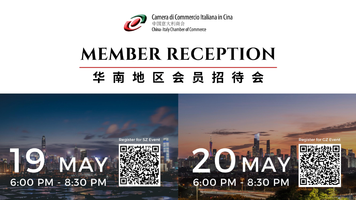

# **MEMBER RECEPTION**

## 华南地区会员招待会

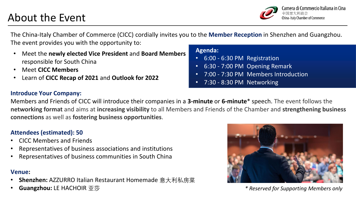## About the Event



The China-Italy Chamber of Commerce (CICC) cordially invites you to the **Member Reception** in Shenzhen and Guangzhou. The event provides you with the opportunity to:

- Meet the **newly elected Vice President** and **Board Members**  responsible for South China
- Meet **CICC Members**
- Learn of **CICC Recap of 2021** and **Outlook for 2022**

#### **Introduce Your Company:**

Members and Friends of CICC will introduce their companies in a **3-minute** or **6-minute**\* speech. The event follows the **networking format** and aims at **increasing visibility** to all Members and Friends of the Chamber and **strengthening business connections** as well as **fostering business opportunities**.

#### **Attendees (estimated): 50**

- CICC Members and Friends
- Representatives of business associations and institutions
- Representatives of business communities in South China

#### **Venue:**

- **Shenzhen:** AZZURRO Italian Restaurant Homemade 意大利私房菜
- **Guangzhou:** LE HACHOIR 亚莎



*\* Reserved for Supporting Members only*

#### **Agenda:**

- 6:00 6:30 PM Registration
- 6:30 7:00 PM Opening Remark
- 7:00 7:30 PM Members Introduction
- 7:30 8:30 PM Networking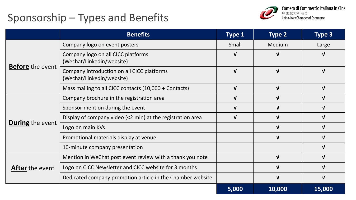## Sponsorship – Types and Benefits



|                         | <b>Benefits</b>                                                         | <b>Type 1</b> | <b>Type 2</b> | Type 3       |
|-------------------------|-------------------------------------------------------------------------|---------------|---------------|--------------|
| <b>Before</b> the event | Company logo on event posters                                           | Small         | Medium        | Large        |
|                         | Company logo on all CICC platforms<br>(Wechat/Linkedin/website)         | $\mathbf v$   |               |              |
|                         | Company introduction on all CICC platforms<br>(Wechat/Linkedin/website) | $\mathbf{V}$  | $\mathbf{V}$  | $\mathbf{v}$ |
|                         | Mass mailing to all CICC contacts (10,000 + Contacts)                   | $\mathbf{V}$  | $\mathbf{V}$  | $\mathbf{v}$ |
| <b>During</b> the event | Company brochure in the registration area                               | $\mathbf v$   |               |              |
|                         | Sponsor mention during the event                                        | $\mathbf v$   |               |              |
|                         | Display of company video (<2 min) at the registration area              | $\mathbf v$   |               |              |
|                         | Logo on main KVs                                                        |               |               |              |
|                         | Promotional materials display at venue                                  |               | $\mathbf{V}$  |              |
|                         | 10-minute company presentation                                          |               |               |              |
| <b>After</b> the event  | Mention in WeChat post event review with a thank you note               |               | $\mathbf{V}$  |              |
|                         | Logo on CICC Newsletter and CICC website for 3 months                   |               |               |              |
|                         | Dedicated company promotion article in the Chamber website              |               |               |              |
|                         |                                                                         | 5,000         | 10,000        | 15,000       |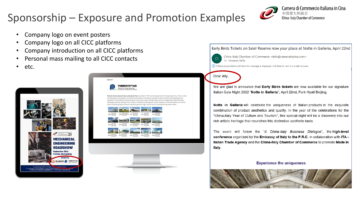## Sponsorship – Exposure and Promotion Examples



- Company logo on event posters
- Company logo on all CICC platforms
- Company introduction on all CICC platforms
- Personal mass mailing to all CICC contacts
- etc.





nal Science Industrial Park, founded in 1991 and headquartered in Hong Kong China, is the numb one developer and operator of industrial real estate in China.Over the past 20 years, Plainvim has developed and operated 15 international industrial parks in the major cities of Greater Bay Area and Yangtze River Delta.The total developed area has reached over 5 million m<sup>2</sup>.Plainvim International, as the champion of China Industry 4.0, has the arks for high- end EU and US manufacturing cluster center



Early Birds Tickets on Sale! Reserve now your place at Notte in Galleria, April 22nd

China-Italy Chamber of Commerce <info@cameraitacina.com> To Vincenzo Raffa

(i) If there are problems with how this message is displayed, click here to view it in a web browser.

#### Dear Ally.

 $CI$ 

We are glad to announce that Early Birds tickets are now available for our signature Italian Gala Night 2022 "Notte in Galleria", April 22nd, Park Hyatt Beijing.

Notte in Galleria will celebrate the uniqueness of Italian products in the exquisite combination of product aesthetics and quality. In the year of the celebrations for the "China-Italy Year of Culture and Tourism", this special night will be a discovery into our rich artistic heritage that nourishes this distinctive aesthetic taste.

The event will follow the "Il China-Italy Business Dialogue", the high-level conference organized by the Embassy of Italy to the P.R.C. in collaboration with ITA -Italian Trade Agency and the China-Italy Chamber of Commerce to promote Made in Italy.